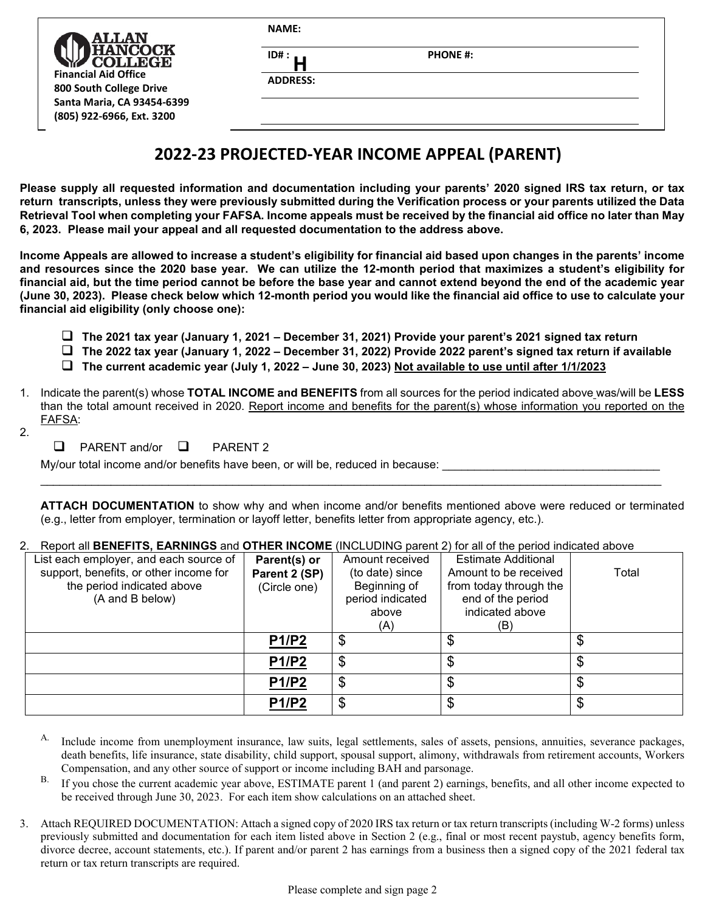| <b>ALLAN</b>                                                                             | <b>NAME:</b>            |                 |  |  |
|------------------------------------------------------------------------------------------|-------------------------|-----------------|--|--|
| <b>ANCOCK</b><br><b>OLLEGE</b><br><b>Financial Aid Office</b><br>800 South College Drive | ID#:<br><b>ADDRESS:</b> | <b>PHONE #:</b> |  |  |
| Santa Maria, CA 93454-6399<br>(805) 922-6966, Ext. 3200                                  |                         |                 |  |  |

# **2022-23 PROJECTED-YEAR INCOME APPEAL (PARENT)**

**Please supply all requested information and documentation including your parents' 2020 signed IRS tax return, or tax return transcripts, unless they were previously submitted during the Verification process or your parents utilized the Data Retrieval Tool when completing your FAFSA. Income appeals must be received by the financial aid office no later than May 6, 2023. Please mail your appeal and all requested documentation to the address above.**

**Income Appeals are allowed to increase a student's eligibility for financial aid based upon changes in the parents' income and resources since the 2020 base year. We can utilize the 12-month period that maximizes a student's eligibility for financial aid, but the time period cannot be before the base year and cannot extend beyond the end of the academic year (June 30, 2023). Please check below which 12-month period you would like the financial aid office to use to calculate your financial aid eligibility (only choose one):**

- **The 2021 tax year (January 1, 2021 December 31, 2021) Provide your parent's 2021 signed tax return**
- **The 2022 tax year (January 1, 2022 December 31, 2022) Provide 2022 parent's signed tax return if available**
- **The current academic year (July 1, 2022 June 30, 2023) Not available to use until after 1/1/2023**
- 1. Indicate the parent(s) whose **TOTAL INCOME and BENEFITS** from all sources for the period indicated above was/will be **LESS** than the total amount received in 2020. Report income and benefits for the parent(s) whose information you reported on the FAFSA:

\_\_\_\_\_\_\_\_\_\_\_\_\_\_\_\_\_\_\_\_\_\_\_\_\_\_\_\_\_\_\_\_\_\_\_\_\_\_\_\_\_\_\_\_\_\_\_\_\_\_\_\_\_\_\_\_\_\_\_\_\_\_\_\_\_\_\_\_\_\_\_\_\_\_\_\_\_\_\_\_\_\_\_\_\_\_\_\_\_\_\_\_\_\_\_\_\_

- 2.
- $\Box$  PARENT and/or  $\Box$  PARENT 2

My/our total income and/or benefits have been, or will be, reduced in because:

**ATTACH DOCUMENTATION** to show why and when income and/or benefits mentioned above were reduced or terminated (e.g., letter from employer, termination or layoff letter, benefits letter from appropriate agency, etc.).

#### 2. Report all **BENEFITS, EARNINGS** and **OTHER INCOME** (INCLUDING parent 2) for all of the period indicated above

| List each employer, and each source of | Parent(s) or  | Amount received  | <b>Estimate Additional</b> |       |
|----------------------------------------|---------------|------------------|----------------------------|-------|
| support, benefits, or other income for | Parent 2 (SP) | (to date) since  | Amount to be received      | Total |
| the period indicated above             | (Circle one)  | Beginning of     | from today through the     |       |
| (A and B below)                        |               | period indicated | end of the period          |       |
|                                        |               | above            | indicated above            |       |
|                                        |               | (A)              | (B)                        |       |
|                                        | P1/P2         | \$               | \$                         |       |
|                                        | P1/P2         | \$               | \$                         |       |
|                                        | P1/P2         | \$               | \$                         |       |
|                                        | <b>P1/P2</b>  | \$               |                            |       |

- A. Include income from unemployment insurance, law suits, legal settlements, sales of assets, pensions, annuities, severance packages, death benefits, life insurance, state disability, child support, spousal support, alimony, withdrawals from retirement accounts, Workers Compensation, and any other source of support or income including BAH and parsonage.
- B. If you chose the current academic year above, ESTIMATE parent 1 (and parent 2) earnings, benefits, and all other income expected to be received through June 30, 2023. For each item show calculations on an attached sheet.
- 3. Attach REQUIRED DOCUMENTATION: Attach a signed copy of 2020 IRS tax return or tax return transcripts (including W-2 forms) unless previously submitted and documentation for each item listed above in Section 2 (e.g., final or most recent paystub, agency benefits form, divorce decree, account statements, etc.). If parent and/or parent 2 has earnings from a business then a signed copy of the 2021 federal tax return or tax return transcripts are required.